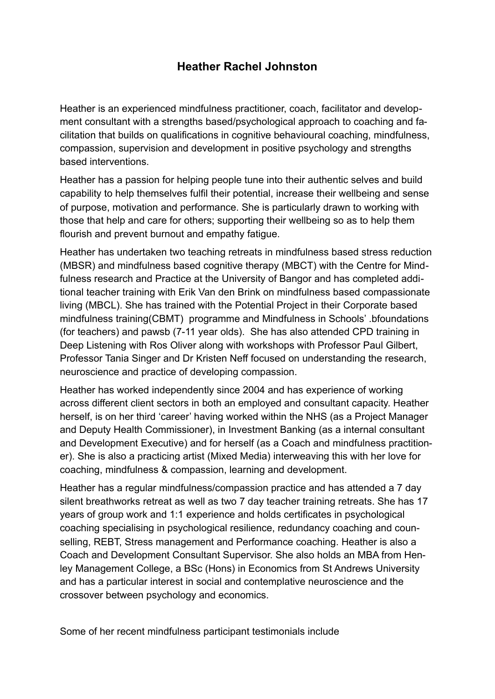## **Heather Rachel Johnston**

Heather is an experienced mindfulness practitioner, coach, facilitator and development consultant with a strengths based/psychological approach to coaching and facilitation that builds on qualifications in cognitive behavioural coaching, mindfulness, compassion, supervision and development in positive psychology and strengths based interventions.

Heather has a passion for helping people tune into their authentic selves and build capability to help themselves fulfil their potential, increase their wellbeing and sense of purpose, motivation and performance. She is particularly drawn to working with those that help and care for others; supporting their wellbeing so as to help them flourish and prevent burnout and empathy fatigue.

Heather has undertaken two teaching retreats in mindfulness based stress reduction (MBSR) and mindfulness based cognitive therapy (MBCT) with the Centre for Mindfulness research and Practice at the University of Bangor and has completed additional teacher training with Erik Van den Brink on mindfulness based compassionate living (MBCL). She has trained with the Potential Project in their Corporate based mindfulness training(CBMT) programme and Mindfulness in Schools' .bfoundations (for teachers) and pawsb (7-11 year olds). She has also attended CPD training in Deep Listening with Ros Oliver along with workshops with Professor Paul Gilbert, Professor Tania Singer and Dr Kristen Neff focused on understanding the research, neuroscience and practice of developing compassion.

Heather has worked independently since 2004 and has experience of working across different client sectors in both an employed and consultant capacity. Heather herself, is on her third 'career' having worked within the NHS (as a Project Manager and Deputy Health Commissioner), in Investment Banking (as a internal consultant and Development Executive) and for herself (as a Coach and mindfulness practitioner). She is also a practicing artist (Mixed Media) interweaving this with her love for coaching, mindfulness & compassion, learning and development.

Heather has a regular mindfulness/compassion practice and has attended a 7 day silent breathworks retreat as well as two 7 day teacher training retreats. She has 17 years of group work and 1:1 experience and holds certificates in psychological coaching specialising in psychological resilience, redundancy coaching and counselling, REBT, Stress management and Performance coaching. Heather is also a Coach and Development Consultant Supervisor. She also holds an MBA from Henley Management College, a BSc (Hons) in Economics from St Andrews University and has a particular interest in social and contemplative neuroscience and the crossover between psychology and economics.

Some of her recent mindfulness participant testimonials include